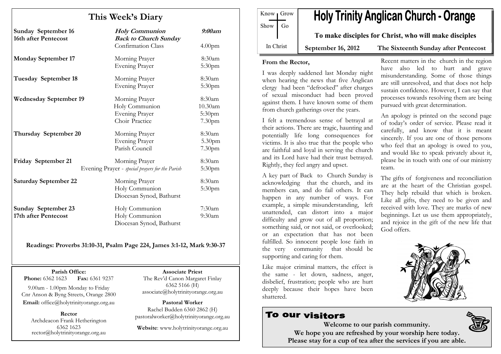# This Week's Diary

| <b>Sunday September 16</b><br>16th after Pentecost | <b>Holy Communion</b><br><b>Back to Church Sunday</b>                       | 9:00am                                   |
|----------------------------------------------------|-----------------------------------------------------------------------------|------------------------------------------|
|                                                    | <b>Confirmation Class</b>                                                   | 4.00 <sub>pm</sub>                       |
| <b>Monday September 17</b>                         | Morning Prayer<br><b>Evening Prayer</b>                                     | 8:30am<br>5:30 <sub>pm</sub>             |
| Tuesday September 18                               | Morning Prayer<br>Evening Prayer                                            | 8:30am<br>5:30pm                         |
| <b>Wednesday September 19</b>                      | Morning Prayer<br>Holy Communion<br><b>Evening Prayer</b><br>Choir Practice | 8:30am<br>$10.30$ am<br>5:30pm<br>7.30pm |
| Thursday September 20                              | Morning Prayer<br><b>Evening Prayer</b><br>Parish Council                   | 8:30am<br>5.30pm<br>7.30pm               |
| Friday September 21                                | Morning Prayer<br>Evening Prayer - special prayers for the Parish           | 8:30am<br>5:30pm                         |
| <b>Saturday September 22</b>                       | Morning Prayer<br>Holy Communion<br>Diocesan Synod, Bathurst                | 8:30am<br>5:30pm                         |
| Sunday September 23<br>17th after Pentecost        | Holy Communion<br>Holy Communion<br>Diocesan Synod, Bathurst                | $7:30$ am<br>$9:30$ am                   |

Readings: Proverbs 31:10-31, Psalm Page 224, James 3:1-12, Mark 9:30-37

Parish Office: Fax: 6361 9237 **Phone:** 6362 1623

9.00am - 1.00pm Monday to Friday Cnr Anson & Byng Streets, Orange 2800 Email: office@holytrinityorange.org.au

Rector Archdeacon Frank Hetherington 6362 1623 rector@holytrinityorange.org.au

Associate Priest The Rev'd Canon Margaret Finlay 6362 5166 (H) associate@holytrinityorange.org.au

Pastoral Worker Rachel Budden 6360 2862 (H) pastoralworker@holytrinityorange.org.au

Website: www.holytrinityorange.org.au

| Know Grow Show Go |  | <b>Holy Trinity Anglican Church - Orange</b>          |                                      |
|-------------------|--|-------------------------------------------------------|--------------------------------------|
|                   |  | To make disciples for Christ, who will make disciples |                                      |
| In Christ         |  | September 16, 2012                                    | The Sixteenth Sunday after Pentecost |

### From the Rector,

I was deeply saddened last Monday night when hearing the news that five Anglican clergy had been "defrocked" after charges of sexual misconduct had been proved against them. I have known some of them from church gatherings over the years.

I felt a tremendous sense of betrayal at their actions. There are tragic, haunting and potentially life long consequences for victims. It is also true that the people who are faithful and loyal in serving the church and its Lord have had their trust betrayed. Rightly, they feel angry and upset.

A key part of Back to Church Sunday is acknowledging that the church, and its members can, and do fail others. It can happen in any number of ways. For example, a simple misunderstanding, left unattended, can distort into a major difficulty and grow out of all proportion; something said, or not said, or overlooked; or an expectation that has not been fulfilled. So innocent people lose faith in the very community that should be supporting and caring for them.

Like major criminal matters, the effect is the same - let down, sadness, anger, disbelief, frustration; people who are hurt deeply because their hopes have been shattered.

# **To our visitors**

Recent matters in the church in the region have also led to hurt and grave misunderstanding. Some of those things are still unresolved, and that does not help sustain confidence. However, I can say that processes towards resolving them are being pursued with great determination.

An apology is printed on the second page of today's order of service. Please read it carefully, and know that it is meant sincerely. If you are one of those persons who feel that an apology is owed to you, and would like to speak privately about it, please be in touch with one of our ministry team.

The gifts of forgiveness and reconciliation are at the heart of the Christian gospel. They help rebuild that which is broken. Like all gifts, they need to be given and received with love. They are marks of new beginnings. Let us use them appropriately, and rejoice in the gift of the new life that God offers.



Welcome to our parish community. We hope you are refreshed by your worship here today. Please stay for a cup of tea after the services if you are able.